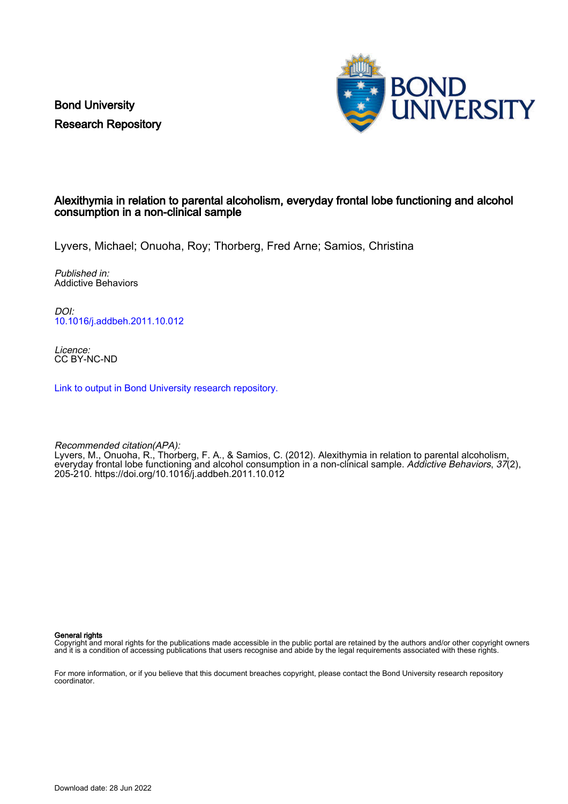Bond University Research Repository



## Alexithymia in relation to parental alcoholism, everyday frontal lobe functioning and alcohol consumption in a non-clinical sample

Lyvers, Michael; Onuoha, Roy; Thorberg, Fred Arne; Samios, Christina

Published in: Addictive Behaviors

DOI: [10.1016/j.addbeh.2011.10.012](https://doi.org/10.1016/j.addbeh.2011.10.012)

Licence: CC BY-NC-ND

[Link to output in Bond University research repository.](https://research.bond.edu.au/en/publications/8c15df47-a81a-424a-928d-3702b74ba7d7)

Recommended citation(APA): Lyvers, M., Onuoha, R., Thorberg, F. A., & Samios, C. (2012). Alexithymia in relation to parental alcoholism, everyday frontal lobe functioning and alcohol consumption in a non-clinical sample. Addictive Behaviors, 37(2), 205-210.<https://doi.org/10.1016/j.addbeh.2011.10.012>

General rights

Copyright and moral rights for the publications made accessible in the public portal are retained by the authors and/or other copyright owners and it is a condition of accessing publications that users recognise and abide by the legal requirements associated with these rights.

For more information, or if you believe that this document breaches copyright, please contact the Bond University research repository coordinator.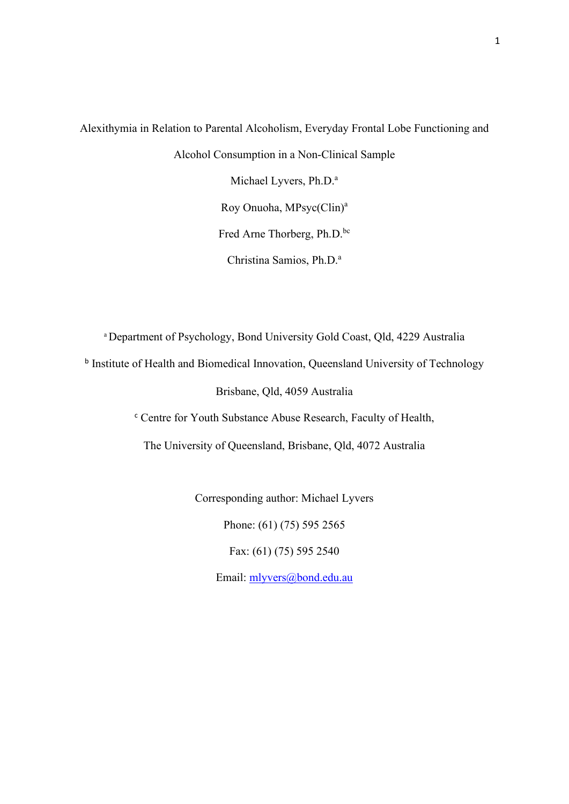Alexithymia in Relation to Parental Alcoholism, Everyday Frontal Lobe Functioning and Alcohol Consumption in a Non-Clinical Sample Michael Lyvers, Ph.D.<sup>a</sup> Roy Onuoha, MPsyc(Clin)a Fred Arne Thorberg, Ph.D.bc Christina Samios, Ph.D.<sup>a</sup>

a Department of Psychology, Bond University Gold Coast, Qld, 4229 Australia

<sup>b</sup> Institute of Health and Biomedical Innovation, Queensland University of Technology

Brisbane, Qld, 4059 Australia

<sup>c</sup> Centre for Youth Substance Abuse Research, Faculty of Health,

The University of Queensland, Brisbane, Qld, 4072 Australia

Corresponding author: Michael Lyvers

Phone: (61) (75) 595 2565

Fax: (61) (75) 595 2540

Email: [mlyvers@bond.edu.au](mailto:mlyvers@bond.edu.au)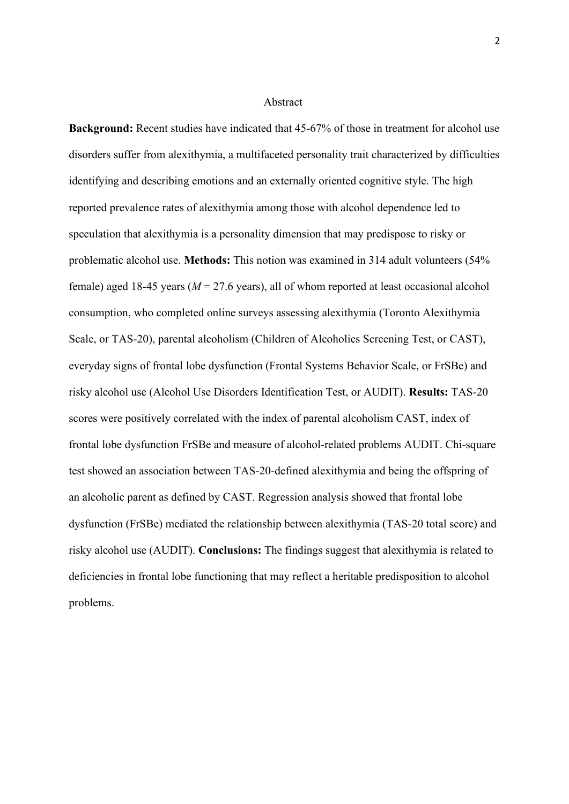#### Abstract

**Background:** Recent studies have indicated that  $45-67%$  of those in treatment for alcohol use disorders suffer from alexithymia, a multifaceted personality trait characterized by difficulties identifying and describing emotions and an externally oriented cognitive style. The high reported prevalence rates of alexithymia among those with alcohol dependence led to speculation that alexithymia is a personality dimension that may predispose to risky or problematic alcohol use. **Methods:** This notion was examined in 314 adult volunteers (54% female) aged 18-45 years (*M* = 27.6 years), all of whom reported at least occasional alcohol consumption, who completed online surveys assessing alexithymia (Toronto Alexithymia Scale, or TAS-20), parental alcoholism (Children of Alcoholics Screening Test, or CAST), everyday signs of frontal lobe dysfunction (Frontal Systems Behavior Scale, or FrSBe) and risky alcohol use (Alcohol Use Disorders Identification Test, or AUDIT). **Results:** TAS-20 scores were positively correlated with the index of parental alcoholism CAST, index of frontal lobe dysfunction FrSBe and measure of alcohol-related problems AUDIT. Chi-square test showed an association between TAS-20-defined alexithymia and being the offspring of an alcoholic parent as defined by CAST. Regression analysis showed that frontal lobe dysfunction (FrSBe) mediated the relationship between alexithymia (TAS-20 total score) and risky alcohol use (AUDIT). **Conclusions:** The findings suggest that alexithymia is related to deficiencies in frontal lobe functioning that may reflect a heritable predisposition to alcohol problems.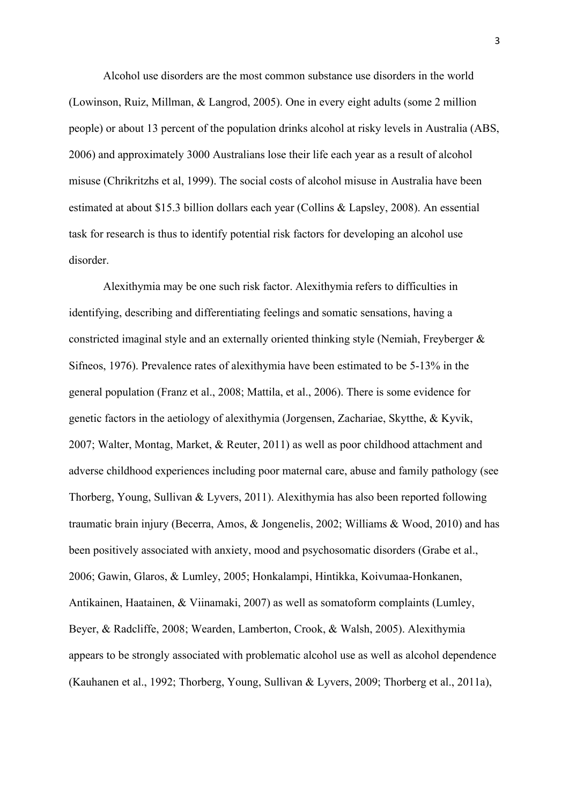Alcohol use disorders are the most common substance use disorders in the world (Lowinson, Ruiz, Millman, & Langrod, 2005). One in every eight adults (some 2 million people) or about 13 percent of the population drinks alcohol at risky levels in Australia (ABS, 2006) and approximately 3000 Australians lose their life each year as a result of alcohol misuse (Chrikritzhs et al, 1999). The social costs of alcohol misuse in Australia have been estimated at about \$15.3 billion dollars each year (Collins & Lapsley, 2008). An essential task for research is thus to identify potential risk factors for developing an alcohol use disorder.

Alexithymia may be one such risk factor. Alexithymia refers to difficulties in identifying, describing and differentiating feelings and somatic sensations, having a constricted imaginal style and an externally oriented thinking style (Nemiah, Freyberger & Sifneos, 1976). Prevalence rates of alexithymia have been estimated to be 5-13% in the general population (Franz et al., 2008; Mattila, et al., 2006). There is some evidence for genetic factors in the aetiology of alexithymia (Jorgensen, Zachariae, Skytthe, & Kyvik, 2007; Walter, Montag, Market, & Reuter, 2011) as well as poor childhood attachment and adverse childhood experiences including poor maternal care, abuse and family pathology (see Thorberg, Young, Sullivan & Lyvers, 2011). Alexithymia has also been reported following traumatic brain injury (Becerra, Amos, & Jongenelis, 2002; Williams & Wood, 2010) and has been positively associated with anxiety, mood and psychosomatic disorders (Grabe et al., 2006; Gawin, Glaros, & Lumley, 2005; Honkalampi, Hintikka, Koivumaa-Honkanen, Antikainen, Haatainen, & Viinamaki, 2007) as well as somatoform complaints (Lumley, Beyer, & Radcliffe, 2008; Wearden, Lamberton, Crook, & Walsh, 2005). Alexithymia appears to be strongly associated with problematic alcohol use as well as alcohol dependence (Kauhanen et al., 1992; Thorberg, Young, Sullivan & Lyvers, 2009; Thorberg et al., 2011a),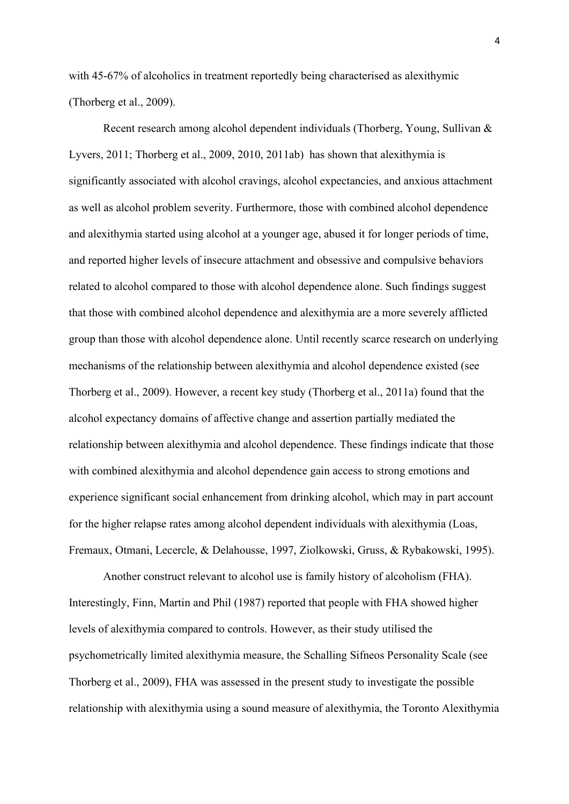with 45-67% of alcoholics in treatment reportedly being characterised as alexithymic (Thorberg et al., 2009).

Recent research among alcohol dependent individuals (Thorberg, Young, Sullivan & Lyvers, 2011; Thorberg et al., 2009, 2010, 2011ab) has shown that alexithymia is significantly associated with alcohol cravings, alcohol expectancies, and anxious attachment as well as alcohol problem severity. Furthermore, those with combined alcohol dependence and alexithymia started using alcohol at a younger age, abused it for longer periods of time, and reported higher levels of insecure attachment and obsessive and compulsive behaviors related to alcohol compared to those with alcohol dependence alone. Such findings suggest that those with combined alcohol dependence and alexithymia are a more severely afflicted group than those with alcohol dependence alone. Until recently scarce research on underlying mechanisms of the relationship between alexithymia and alcohol dependence existed (see Thorberg et al., 2009). However, a recent key study (Thorberg et al., 2011a) found that the alcohol expectancy domains of affective change and assertion partially mediated the relationship between alexithymia and alcohol dependence. These findings indicate that those with combined alexithymia and alcohol dependence gain access to strong emotions and experience significant social enhancement from drinking alcohol, which may in part account for the higher relapse rates among alcohol dependent individuals with alexithymia (Loas, Fremaux, Otmani, Lecercle, & Delahousse, 1997, Ziolkowski, Gruss, & Rybakowski, 1995).

Another construct relevant to alcohol use is family history of alcoholism (FHA). Interestingly, Finn, Martin and Phil (1987) reported that people with FHA showed higher levels of alexithymia compared to controls. However, as their study utilised the psychometrically limited alexithymia measure, the Schalling Sifneos Personality Scale (see Thorberg et al., 2009), FHA was assessed in the present study to investigate the possible relationship with alexithymia using a sound measure of alexithymia, the Toronto Alexithymia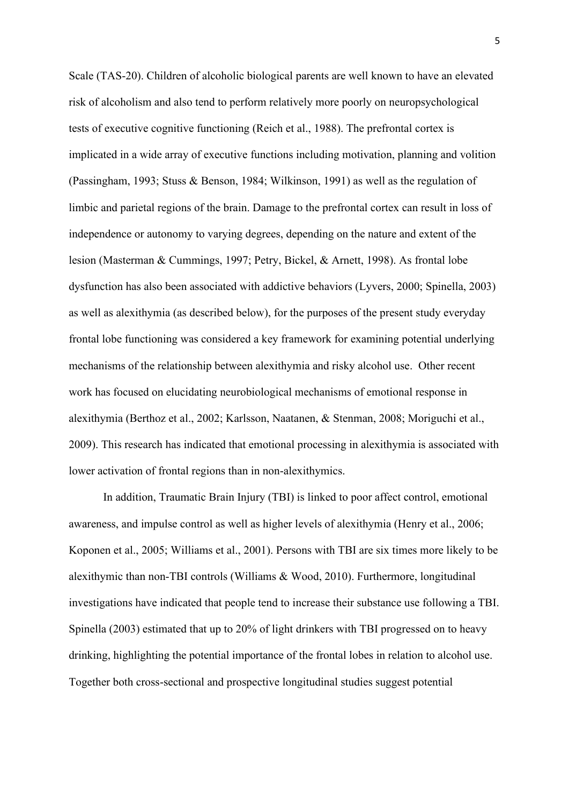Scale (TAS-20). Children of alcoholic biological parents are well known to have an elevated risk of alcoholism and also tend to perform relatively more poorly on neuropsychological tests of executive cognitive functioning (Reich et al., 1988). The prefrontal cortex is implicated in a wide array of executive functions including motivation, planning and volition (Passingham, 1993; Stuss & Benson, 1984; Wilkinson, 1991) as well as the regulation of limbic and parietal regions of the brain. Damage to the prefrontal cortex can result in loss of independence or autonomy to varying degrees, depending on the nature and extent of the lesion (Masterman & Cummings, 1997; Petry, Bickel, & Arnett, 1998). As frontal lobe dysfunction has also been associated with addictive behaviors (Lyvers, 2000; Spinella, 2003) as well as alexithymia (as described below), for the purposes of the present study everyday frontal lobe functioning was considered a key framework for examining potential underlying mechanisms of the relationship between alexithymia and risky alcohol use. Other recent work has focused on elucidating neurobiological mechanisms of emotional response in alexithymia (Berthoz et al., 2002; Karlsson, Naatanen, & Stenman, 2008; Moriguchi et al., 2009). This research has indicated that emotional processing in alexithymia is associated with lower activation of frontal regions than in non-alexithymics.

In addition, Traumatic Brain Injury (TBI) is linked to poor affect control, emotional awareness, and impulse control as well as higher levels of alexithymia (Henry et al., 2006; Koponen et al., 2005; Williams et al., 2001). Persons with TBI are six times more likely to be alexithymic than non-TBI controls (Williams & Wood, 2010). Furthermore, longitudinal investigations have indicated that people tend to increase their substance use following a TBI. Spinella (2003) estimated that up to 20% of light drinkers with TBI progressed on to heavy drinking, highlighting the potential importance of the frontal lobes in relation to alcohol use. Together both cross-sectional and prospective longitudinal studies suggest potential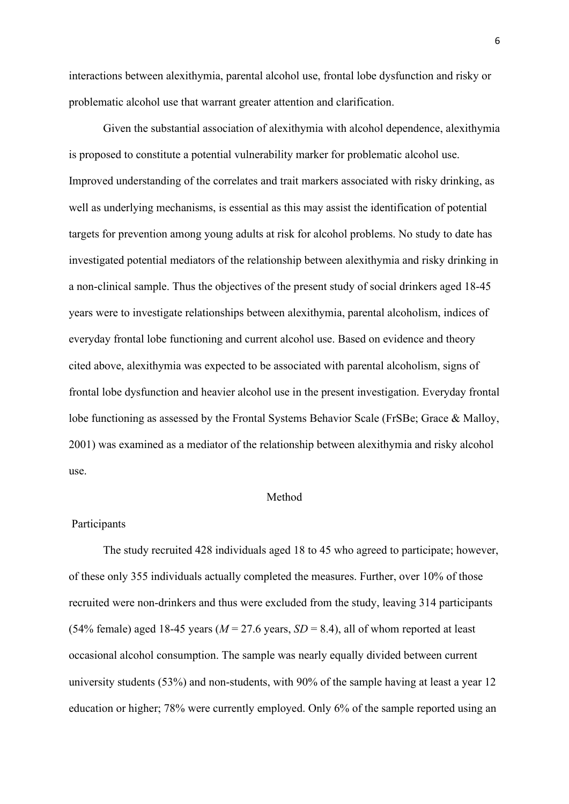interactions between alexithymia, parental alcohol use, frontal lobe dysfunction and risky or problematic alcohol use that warrant greater attention and clarification.

Given the substantial association of alexithymia with alcohol dependence, alexithymia is proposed to constitute a potential vulnerability marker for problematic alcohol use. Improved understanding of the correlates and trait markers associated with risky drinking, as well as underlying mechanisms, is essential as this may assist the identification of potential targets for prevention among young adults at risk for alcohol problems. No study to date has investigated potential mediators of the relationship between alexithymia and risky drinking in a non-clinical sample. Thus the objectives of the present study of social drinkers aged 18-45 years were to investigate relationships between alexithymia, parental alcoholism, indices of everyday frontal lobe functioning and current alcohol use. Based on evidence and theory cited above, alexithymia was expected to be associated with parental alcoholism, signs of frontal lobe dysfunction and heavier alcohol use in the present investigation. Everyday frontal lobe functioning as assessed by the Frontal Systems Behavior Scale (FrSBe; Grace & Malloy, 2001) was examined as a mediator of the relationship between alexithymia and risky alcohol use.

## Method

## Participants

The study recruited 428 individuals aged 18 to 45 who agreed to participate; however, of these only 355 individuals actually completed the measures. Further, over 10% of those recruited were non-drinkers and thus were excluded from the study, leaving 314 participants (54% female) aged 18-45 years ( $M = 27.6$  years,  $SD = 8.4$ ), all of whom reported at least occasional alcohol consumption. The sample was nearly equally divided between current university students (53%) and non-students, with 90% of the sample having at least a year 12 education or higher; 78% were currently employed. Only 6% of the sample reported using an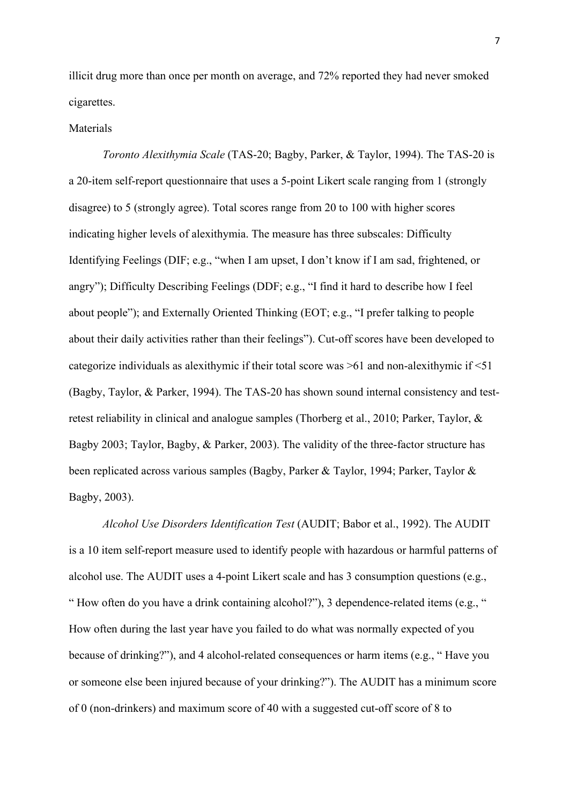illicit drug more than once per month on average, and 72% reported they had never smoked cigarettes.

## Materials

*Toronto Alexithymia Scale* (TAS-20; Bagby, Parker, & Taylor, 1994). The TAS-20 is a 20-item self-report questionnaire that uses a 5-point Likert scale ranging from 1 (strongly disagree) to 5 (strongly agree). Total scores range from 20 to 100 with higher scores indicating higher levels of alexithymia. The measure has three subscales: Difficulty Identifying Feelings (DIF; e.g., "when I am upset, I don't know if I am sad, frightened, or angry"); Difficulty Describing Feelings (DDF; e.g., "I find it hard to describe how I feel about people"); and Externally Oriented Thinking (EOT; e.g., "I prefer talking to people about their daily activities rather than their feelings"). Cut-off scores have been developed to categorize individuals as alexithymic if their total score was >61 and non-alexithymic if <51 (Bagby, Taylor, & Parker, 1994). The TAS-20 has shown sound internal consistency and testretest reliability in clinical and analogue samples (Thorberg et al., 2010; Parker, Taylor, & Bagby 2003; Taylor, Bagby, & Parker, 2003). The validity of the three-factor structure has been replicated across various samples (Bagby, Parker & Taylor, 1994; Parker, Taylor & Bagby, 2003).

*Alcohol Use Disorders Identification Test* (AUDIT; Babor et al., 1992). The AUDIT is a 10 item self-report measure used to identify people with hazardous or harmful patterns of alcohol use. The AUDIT uses a 4-point Likert scale and has 3 consumption questions (e.g., " How often do you have a drink containing alcohol?"), 3 dependence-related items (e.g., " How often during the last year have you failed to do what was normally expected of you because of drinking?"), and 4 alcohol-related consequences or harm items (e.g., " Have you or someone else been injured because of your drinking?"). The AUDIT has a minimum score of 0 (non-drinkers) and maximum score of 40 with a suggested cut-off score of 8 to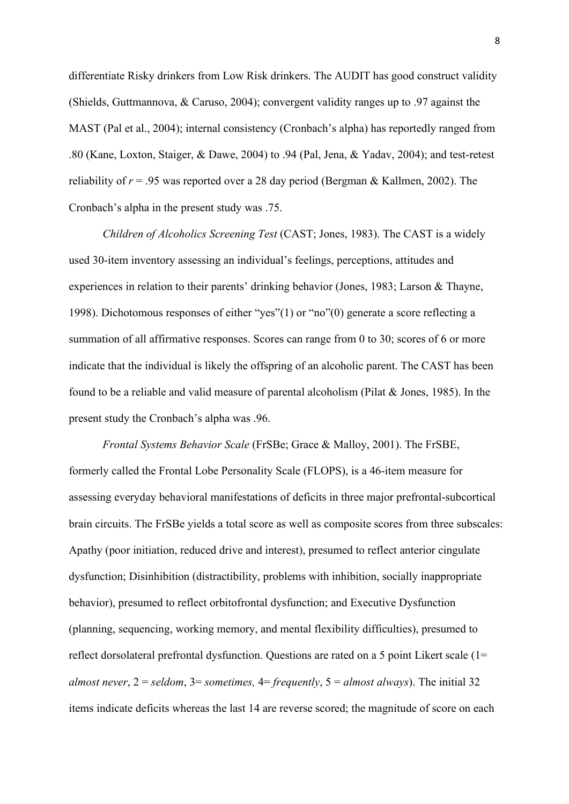differentiate Risky drinkers from Low Risk drinkers. The AUDIT has good construct validity (Shields, Guttmannova, & Caruso, 2004); convergent validity ranges up to .97 against the MAST (Pal et al., 2004); internal consistency (Cronbach's alpha) has reportedly ranged from .80 (Kane, Loxton, Staiger, & Dawe, 2004) to .94 (Pal, Jena, & Yadav, 2004); and test-retest reliability of  $r = .95$  was reported over a 28 day period (Bergman & Kallmen, 2002). The Cronbach's alpha in the present study was .75.

*Children of Alcoholics Screening Test* (CAST; Jones, 1983). The CAST is a widely used 30-item inventory assessing an individual's feelings, perceptions, attitudes and experiences in relation to their parents' drinking behavior (Jones, 1983; Larson & Thayne, 1998). Dichotomous responses of either "yes"(1) or "no"(0) generate a score reflecting a summation of all affirmative responses. Scores can range from 0 to 30; scores of 6 or more indicate that the individual is likely the offspring of an alcoholic parent. The CAST has been found to be a reliable and valid measure of parental alcoholism (Pilat & Jones, 1985). In the present study the Cronbach's alpha was .96.

*Frontal Systems Behavior Scale* (FrSBe; Grace & Malloy, 2001). The FrSBE, formerly called the Frontal Lobe Personality Scale (FLOPS), is a 46-item measure for assessing everyday behavioral manifestations of deficits in three major prefrontal-subcortical brain circuits. The FrSBe yields a total score as well as composite scores from three subscales: Apathy (poor initiation, reduced drive and interest), presumed to reflect anterior cingulate dysfunction; Disinhibition (distractibility, problems with inhibition, socially inappropriate behavior), presumed to reflect orbitofrontal dysfunction; and Executive Dysfunction (planning, sequencing, working memory, and mental flexibility difficulties), presumed to reflect dorsolateral prefrontal dysfunction. Questions are rated on a 5 point Likert scale (1= *almost never*, 2 = *seldom*, 3= *sometimes,* 4= *frequently*, 5 = *almost always*). The initial 32 items indicate deficits whereas the last 14 are reverse scored; the magnitude of score on each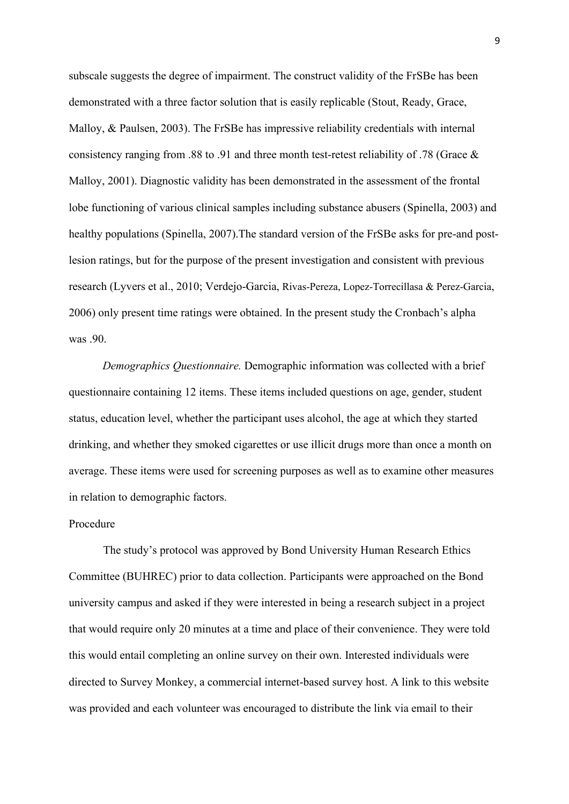subscale suggests the degree of impairment. The construct validity of the FrSBe has been demonstrated with a three factor solution that is easily replicable (Stout, Ready, Grace, Malloy, & Paulsen, 2003). The FrSBe has impressive reliability credentials with internal consistency ranging from .88 to .91 and three month test-retest reliability of .78 (Grace & Malloy, 2001). Diagnostic validity has been demonstrated in the assessment of the frontal lobe functioning of various clinical samples including substance abusers (Spinella, 2003) and healthy populations (Spinella, 2007).The standard version of the FrSBe asks for pre-and postlesion ratings, but for the purpose of the present investigation and consistent with previous research (Lyvers et al., 2010; Verdejo-Garcia, Rivas-Pereza, Lopez-Torrecillasa & Perez-Garcia, 2006) only present time ratings were obtained. In the present study the Cronbach's alpha was .90.

*Demographics Questionnaire.* Demographic information was collected with a brief questionnaire containing 12 items. These items included questions on age, gender, student status, education level, whether the participant uses alcohol, the age at which they started drinking, and whether they smoked cigarettes or use illicit drugs more than once a month on average. These items were used for screening purposes as well as to examine other measures in relation to demographic factors.

## Procedure

The study's protocol was approved by Bond University Human Research Ethics Committee (BUHREC) prior to data collection. Participants were approached on the Bond university campus and asked if they were interested in being a research subject in a project that would require only 20 minutes at a time and place of their convenience. They were told this would entail completing an online survey on their own. Interested individuals were directed to Survey Monkey, a commercial internet-based survey host. A link to this website was provided and each volunteer was encouraged to distribute the link via email to their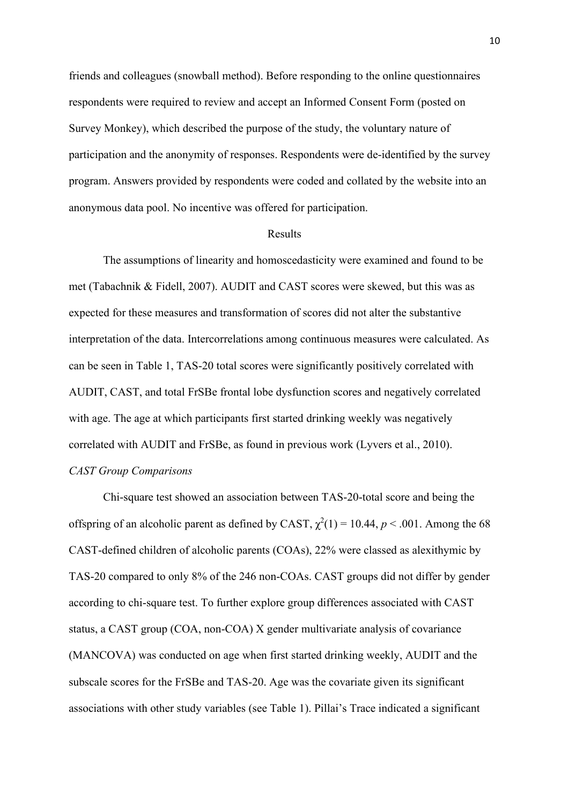friends and colleagues (snowball method). Before responding to the online questionnaires respondents were required to review and accept an Informed Consent Form (posted on Survey Monkey), which described the purpose of the study, the voluntary nature of participation and the anonymity of responses. Respondents were de-identified by the survey program. Answers provided by respondents were coded and collated by the website into an anonymous data pool. No incentive was offered for participation.

#### Results

The assumptions of linearity and homoscedasticity were examined and found to be met (Tabachnik & Fidell, 2007). AUDIT and CAST scores were skewed, but this was as expected for these measures and transformation of scores did not alter the substantive interpretation of the data. Intercorrelations among continuous measures were calculated. As can be seen in Table 1, TAS-20 total scores were significantly positively correlated with AUDIT, CAST, and total FrSBe frontal lobe dysfunction scores and negatively correlated with age. The age at which participants first started drinking weekly was negatively correlated with AUDIT and FrSBe, as found in previous work (Lyvers et al., 2010). *CAST Group Comparisons*

Chi-square test showed an association between TAS-20-total score and being the offspring of an alcoholic parent as defined by CAST,  $\chi^2(1) = 10.44$ ,  $p < .001$ . Among the 68 CAST-defined children of alcoholic parents (COAs), 22% were classed as alexithymic by TAS-20 compared to only 8% of the 246 non-COAs. CAST groups did not differ by gender according to chi-square test. To further explore group differences associated with CAST status, a CAST group (COA, non-COA) X gender multivariate analysis of covariance (MANCOVA) was conducted on age when first started drinking weekly, AUDIT and the subscale scores for the FrSBe and TAS-20. Age was the covariate given its significant associations with other study variables (see Table 1). Pillai's Trace indicated a significant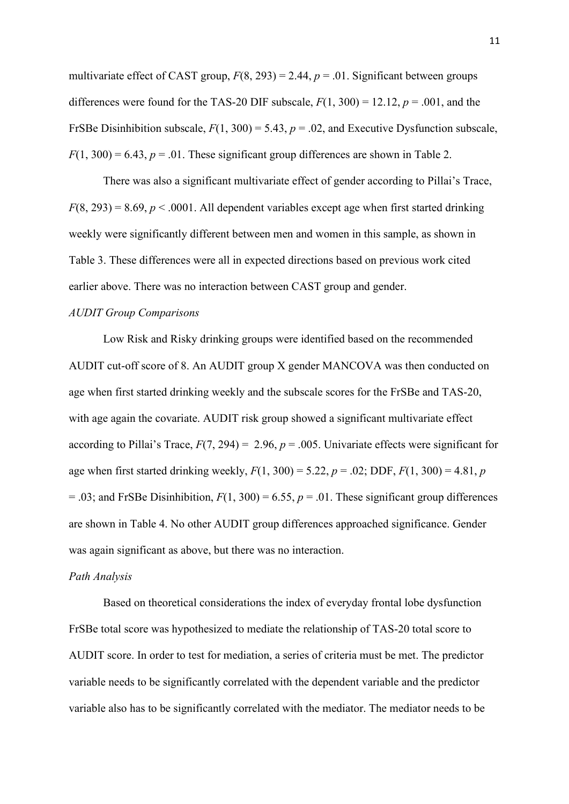multivariate effect of CAST group,  $F(8, 293) = 2.44$ ,  $p = .01$ . Significant between groups differences were found for the TAS-20 DIF subscale,  $F(1, 300) = 12.12$ ,  $p = .001$ , and the FrSBe Disinhibition subscale, *F*(1, 300) = 5.43, *p* = .02, and Executive Dysfunction subscale,  $F(1, 300) = 6.43$ ,  $p = .01$ . These significant group differences are shown in Table 2.

There was also a significant multivariate effect of gender according to Pillai's Trace,  $F(8, 293) = 8.69$ ,  $p < .0001$ . All dependent variables except age when first started drinking weekly were significantly different between men and women in this sample, as shown in Table 3. These differences were all in expected directions based on previous work cited earlier above. There was no interaction between CAST group and gender.

### *AUDIT Group Comparisons*

Low Risk and Risky drinking groups were identified based on the recommended AUDIT cut-off score of 8. An AUDIT group X gender MANCOVA was then conducted on age when first started drinking weekly and the subscale scores for the FrSBe and TAS-20, with age again the covariate. AUDIT risk group showed a significant multivariate effect according to Pillai's Trace,  $F(7, 294) = 2.96$ ,  $p = .005$ . Univariate effects were significant for age when first started drinking weekly,  $F(1, 300) = 5.22$ ,  $p = .02$ ; DDF,  $F(1, 300) = 4.81$ , *p*  $= .03$ ; and FrSBe Disinhibition,  $F(1, 300) = 6.55$ ,  $p = .01$ . These significant group differences are shown in Table 4. No other AUDIT group differences approached significance. Gender was again significant as above, but there was no interaction.

#### *Path Analysis*

Based on theoretical considerations the index of everyday frontal lobe dysfunction FrSBe total score was hypothesized to mediate the relationship of TAS-20 total score to AUDIT score. In order to test for mediation, a series of criteria must be met. The predictor variable needs to be significantly correlated with the dependent variable and the predictor variable also has to be significantly correlated with the mediator. The mediator needs to be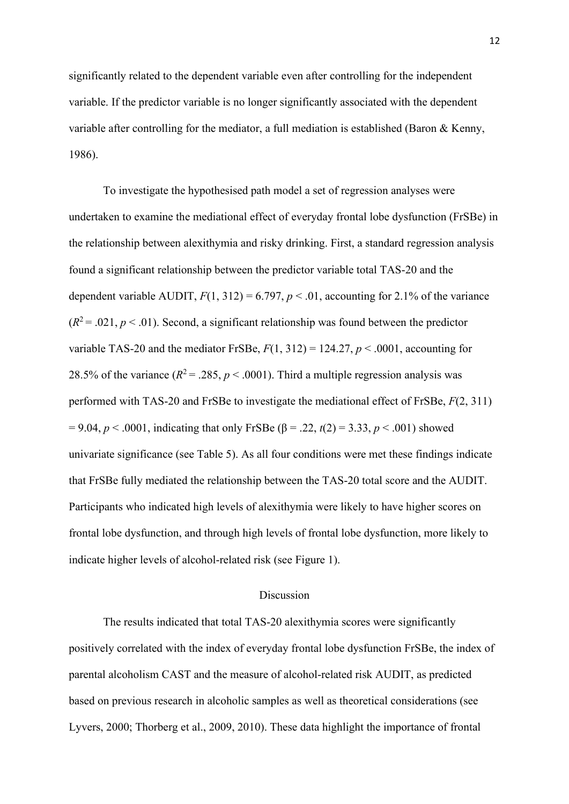significantly related to the dependent variable even after controlling for the independent variable. If the predictor variable is no longer significantly associated with the dependent variable after controlling for the mediator, a full mediation is established (Baron & Kenny, 1986).

To investigate the hypothesised path model a set of regression analyses were undertaken to examine the mediational effect of everyday frontal lobe dysfunction (FrSBe) in the relationship between alexithymia and risky drinking. First, a standard regression analysis found a significant relationship between the predictor variable total TAS-20 and the dependent variable AUDIT,  $F(1, 312) = 6.797$ ,  $p < .01$ , accounting for 2.1% of the variance  $(R^2 = .021, p < .01)$ . Second, a significant relationship was found between the predictor variable TAS-20 and the mediator FrSBe,  $F(1, 312) = 124.27, p < .0001$ , accounting for 28.5% of the variance  $(R^2 = .285, p < .0001)$ . Third a multiple regression analysis was performed with TAS-20 and FrSBe to investigate the mediational effect of FrSBe, *F*(2, 311)  $= 9.04, p < .0001$ , indicating that only FrSBe ( $\beta = .22, t(2) = 3.33, p < .001$ ) showed univariate significance (see Table 5). As all four conditions were met these findings indicate that FrSBe fully mediated the relationship between the TAS-20 total score and the AUDIT. Participants who indicated high levels of alexithymia were likely to have higher scores on frontal lobe dysfunction, and through high levels of frontal lobe dysfunction, more likely to indicate higher levels of alcohol-related risk (see Figure 1).

### Discussion

The results indicated that total TAS-20 alexithymia scores were significantly positively correlated with the index of everyday frontal lobe dysfunction FrSBe, the index of parental alcoholism CAST and the measure of alcohol-related risk AUDIT, as predicted based on previous research in alcoholic samples as well as theoretical considerations (see Lyvers, 2000; Thorberg et al., 2009, 2010). These data highlight the importance of frontal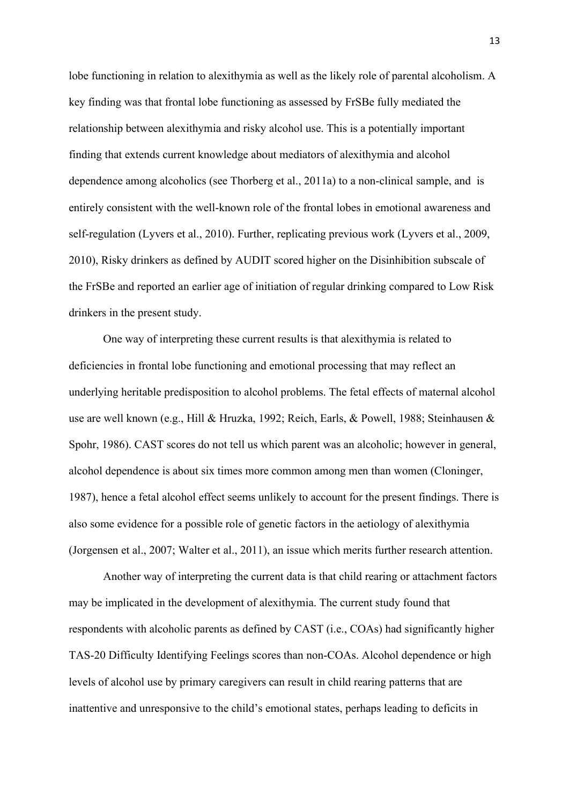lobe functioning in relation to alexithymia as well as the likely role of parental alcoholism. A key finding was that frontal lobe functioning as assessed by FrSBe fully mediated the relationship between alexithymia and risky alcohol use. This is a potentially important finding that extends current knowledge about mediators of alexithymia and alcohol dependence among alcoholics (see Thorberg et al., 2011a) to a non-clinical sample, and is entirely consistent with the well-known role of the frontal lobes in emotional awareness and self-regulation (Lyvers et al., 2010). Further, replicating previous work (Lyvers et al., 2009, 2010), Risky drinkers as defined by AUDIT scored higher on the Disinhibition subscale of the FrSBe and reported an earlier age of initiation of regular drinking compared to Low Risk drinkers in the present study.

One way of interpreting these current results is that alexithymia is related to deficiencies in frontal lobe functioning and emotional processing that may reflect an underlying heritable predisposition to alcohol problems. The fetal effects of maternal alcohol use are well known (e.g., Hill & Hruzka, 1992; Reich, Earls, & Powell, 1988; Steinhausen & Spohr, 1986). CAST scores do not tell us which parent was an alcoholic; however in general, alcohol dependence is about six times more common among men than women (Cloninger, 1987), hence a fetal alcohol effect seems unlikely to account for the present findings. There is also some evidence for a possible role of genetic factors in the aetiology of alexithymia (Jorgensen et al., 2007; Walter et al., 2011), an issue which merits further research attention.

Another way of interpreting the current data is that child rearing or attachment factors may be implicated in the development of alexithymia. The current study found that respondents with alcoholic parents as defined by CAST (i.e., COAs) had significantly higher TAS-20 Difficulty Identifying Feelings scores than non-COAs. Alcohol dependence or high levels of alcohol use by primary caregivers can result in child rearing patterns that are inattentive and unresponsive to the child's emotional states, perhaps leading to deficits in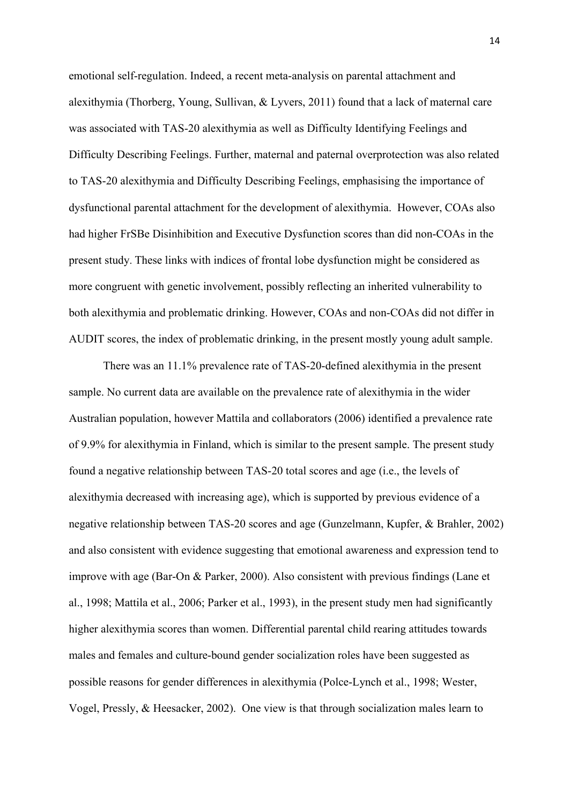emotional self-regulation. Indeed, a recent meta-analysis on parental attachment and alexithymia (Thorberg, Young, Sullivan, & Lyvers, 2011) found that a lack of maternal care was associated with TAS-20 alexithymia as well as Difficulty Identifying Feelings and Difficulty Describing Feelings. Further, maternal and paternal overprotection was also related to TAS-20 alexithymia and Difficulty Describing Feelings, emphasising the importance of dysfunctional parental attachment for the development of alexithymia. However, COAs also had higher FrSBe Disinhibition and Executive Dysfunction scores than did non-COAs in the present study. These links with indices of frontal lobe dysfunction might be considered as more congruent with genetic involvement, possibly reflecting an inherited vulnerability to both alexithymia and problematic drinking. However, COAs and non-COAs did not differ in AUDIT scores, the index of problematic drinking, in the present mostly young adult sample.

There was an 11.1% prevalence rate of TAS-20-defined alexithymia in the present sample. No current data are available on the prevalence rate of alexithymia in the wider Australian population, however Mattila and collaborators (2006) identified a prevalence rate of 9.9% for alexithymia in Finland, which is similar to the present sample. The present study found a negative relationship between TAS-20 total scores and age (i.e., the levels of alexithymia decreased with increasing age), which is supported by previous evidence of a negative relationship between TAS-20 scores and age (Gunzelmann, Kupfer, & Brahler, 2002) and also consistent with evidence suggesting that emotional awareness and expression tend to improve with age (Bar-On & Parker, 2000). Also consistent with previous findings (Lane et al., 1998; Mattila et al., 2006; Parker et al., 1993), in the present study men had significantly higher alexithymia scores than women. Differential parental child rearing attitudes towards males and females and culture-bound gender socialization roles have been suggested as possible reasons for gender differences in alexithymia (Polce-Lynch et al., 1998; Wester, Vogel, Pressly, & Heesacker, 2002). One view is that through socialization males learn to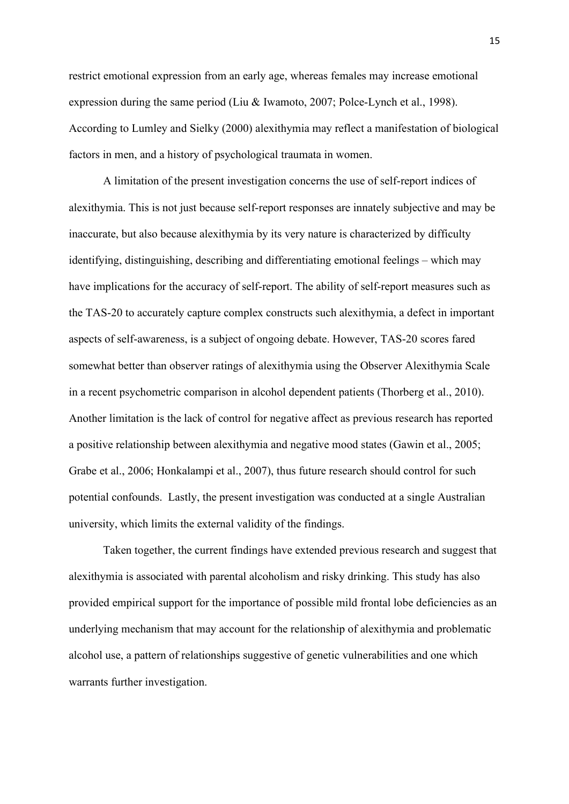restrict emotional expression from an early age, whereas females may increase emotional expression during the same period (Liu & Iwamoto, 2007; Polce-Lynch et al., 1998). According to Lumley and Sielky (2000) alexithymia may reflect a manifestation of biological factors in men, and a history of psychological traumata in women.

A limitation of the present investigation concerns the use of self-report indices of alexithymia. This is not just because self-report responses are innately subjective and may be inaccurate, but also because alexithymia by its very nature is characterized by difficulty identifying, distinguishing, describing and differentiating emotional feelings – which may have implications for the accuracy of self-report. The ability of self-report measures such as the TAS-20 to accurately capture complex constructs such alexithymia, a defect in important aspects of self-awareness, is a subject of ongoing debate. However, TAS-20 scores fared somewhat better than observer ratings of alexithymia using the Observer Alexithymia Scale in a recent psychometric comparison in alcohol dependent patients (Thorberg et al., 2010). Another limitation is the lack of control for negative affect as previous research has reported a positive relationship between alexithymia and negative mood states (Gawin et al., 2005; Grabe et al., 2006; Honkalampi et al., 2007), thus future research should control for such potential confounds. Lastly, the present investigation was conducted at a single Australian university, which limits the external validity of the findings.

Taken together, the current findings have extended previous research and suggest that alexithymia is associated with parental alcoholism and risky drinking. This study has also provided empirical support for the importance of possible mild frontal lobe deficiencies as an underlying mechanism that may account for the relationship of alexithymia and problematic alcohol use, a pattern of relationships suggestive of genetic vulnerabilities and one which warrants further investigation.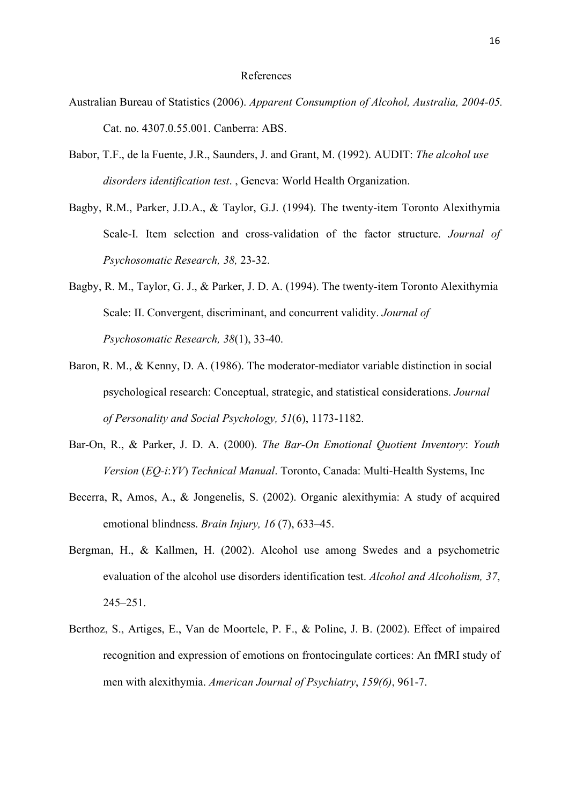#### References

- Australian Bureau of Statistics (2006). *Apparent Consumption of Alcohol, Australia, 2004-05.* Cat. no. 4307.0.55.001. Canberra: ABS.
- Babor, T.F., de la Fuente, J.R., Saunders, J. and Grant, M. (1992). AUDIT: *The alcohol use disorders identification test*. , Geneva: World Health Organization.
- Bagby, R.M., Parker, J.D.A., & Taylor, G.J. (1994). The twenty-item Toronto Alexithymia Scale-I. Item selection and cross-validation of the factor structure. *Journal of Psychosomatic Research, 38,* 23-32.
- Bagby, R. M., Taylor, G. J., & Parker, J. D. A. (1994). The twenty-item Toronto Alexithymia Scale: II. Convergent, discriminant, and concurrent validity. *Journal of Psychosomatic Research, 38*(1), 33-40.
- Baron, R. M., & Kenny, D. A. (1986). The moderator-mediator variable distinction in social psychological research: Conceptual, strategic, and statistical considerations. *Journal of Personality and Social Psychology, 51*(6), 1173-1182.
- Bar-On, R., & Parker, J. D. A. (2000). *The Bar-On Emotional Quotient Inventory*: *Youth Version* (*EQ-i*:*YV*) *Technical Manual*. Toronto, Canada: Multi-Health Systems, Inc
- Becerra, R, Amos, A., & Jongenelis, S. (2002). Organic alexithymia: A study of acquired emotional blindness. *Brain Injury, 16* (7), 633–45.
- Bergman, H., & Kallmen, H. (2002). Alcohol use among Swedes and a psychometric evaluation of the alcohol use disorders identification test. *Alcohol and Alcoholism, 37*, 245–251.
- Berthoz, S., Artiges, E., Van de Moortele, P. F., & Poline, J. B. (2002). Effect of impaired recognition and expression of emotions on frontocingulate cortices: An fMRI study of men with alexithymia. *American Journal of Psychiatry*, *159(6)*, 961-7.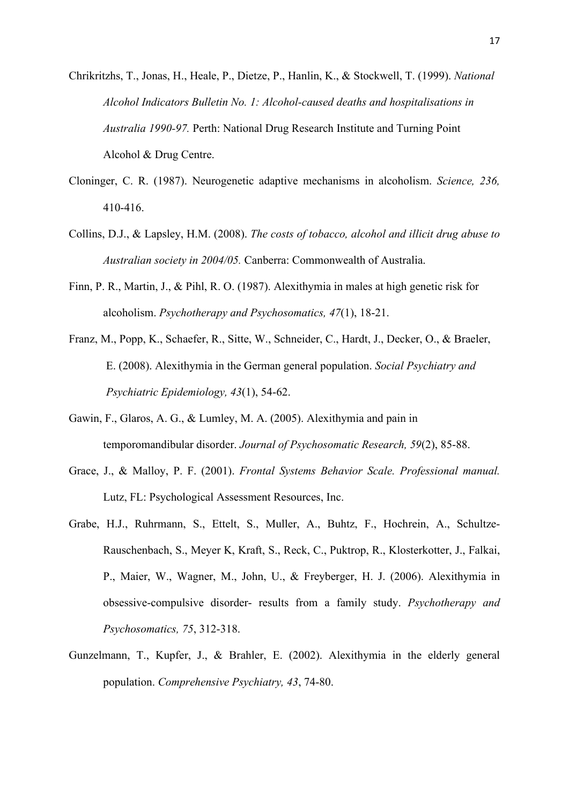Chrikritzhs, T., Jonas, H., Heale, P., Dietze, P., Hanlin, K., & Stockwell, T. (1999). *National Alcohol Indicators Bulletin No. 1: Alcohol-caused deaths and hospitalisations in Australia 1990-97.* Perth: National Drug Research Institute and Turning Point Alcohol & Drug Centre.

- Cloninger, C. R. (1987). Neurogenetic adaptive mechanisms in alcoholism. *Science, 236,* 410-416.
- Collins, D.J., & Lapsley, H.M. (2008). *The costs of tobacco, alcohol and illicit drug abuse to Australian society in 2004/05.* Canberra: Commonwealth of Australia.
- Finn, P. R., Martin, J., & Pihl, R. O. (1987). Alexithymia in males at high genetic risk for alcoholism. *Psychotherapy and Psychosomatics, 47*(1), 18-21.
- Franz, M., Popp, K., Schaefer, R., Sitte, W., Schneider, C., Hardt, J., Decker, O., & Braeler, E. (2008). Alexithymia in the German general population. *Social Psychiatry and Psychiatric Epidemiology, 43*(1), 54-62.
- Gawin, F., Glaros, A. G., & Lumley, M. A. (2005). Alexithymia and pain in temporomandibular disorder. *Journal of Psychosomatic Research, 59*(2), 85-88.
- Grace, J., & Malloy, P. F. (2001). *Frontal Systems Behavior Scale. Professional manual.*  Lutz, FL: Psychological Assessment Resources, Inc.
- Grabe, H.J., Ruhrmann, S., Ettelt, S., Muller, A., Buhtz, F., Hochrein, A., Schultze-Rauschenbach, S., Meyer K, Kraft, S., Reck, C., Puktrop, R., Klosterkotter, J., Falkai, P., Maier, W., Wagner, M., John, U., & Freyberger, H. J. (2006). Alexithymia in obsessive-compulsive disorder- results from a family study. *Psychotherapy and Psychosomatics, 75*, 312-318.
- Gunzelmann, T., Kupfer, J., & Brahler, E. (2002). Alexithymia in the elderly general population. *Comprehensive Psychiatry, 43*, 74-80.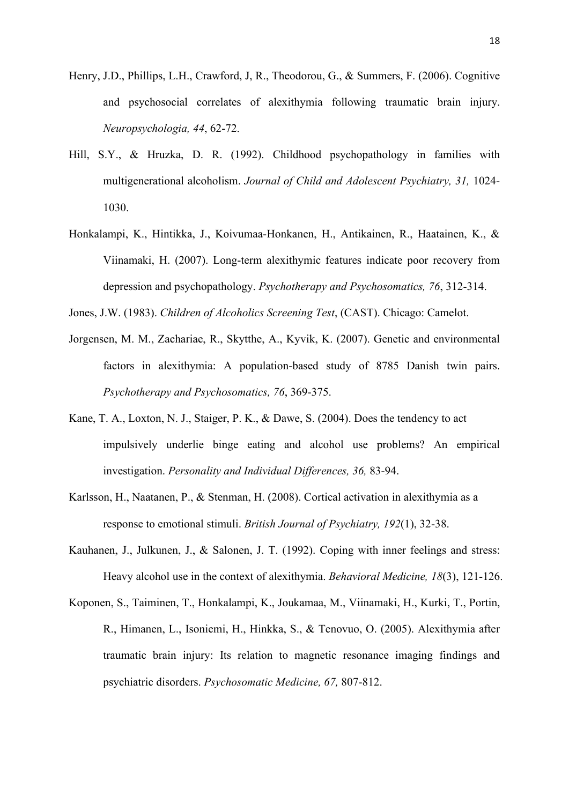- Henry, J.D., Phillips, L.H., Crawford, J, R., Theodorou, G., & Summers, F. (2006). Cognitive and psychosocial correlates of alexithymia following traumatic brain injury. *Neuropsychologia, 44*, 62-72.
- Hill, S.Y., & Hruzka, D. R. (1992). Childhood psychopathology in families with multigenerational alcoholism. *Journal of Child and Adolescent Psychiatry, 31,* 1024- 1030.
- Honkalampi, K., Hintikka, J., Koivumaa-Honkanen, H., Antikainen, R., Haatainen, K., & Viinamaki, H. (2007). Long-term alexithymic features indicate poor recovery from depression and psychopathology. *Psychotherapy and Psychosomatics, 76*, 312-314.
- Jones, J.W. (1983). *Children of Alcoholics Screening Test*, (CAST). Chicago: Camelot.
- Jorgensen, M. M., Zachariae, R., Skytthe, A., Kyvik, K. (2007). Genetic and environmental factors in alexithymia: A population-based study of 8785 Danish twin pairs. *Psychotherapy and Psychosomatics, 76*, 369-375.
- Kane, T. A., Loxton, N. J., Staiger, P. K., & Dawe, S. (2004). Does the tendency to act impulsively underlie binge eating and alcohol use problems? An empirical investigation. *Personality and Individual Differences, 36,* 83-94.
- Karlsson, H., Naatanen, P., & Stenman, H. (2008). Cortical activation in alexithymia as a response to emotional stimuli. *British Journal of Psychiatry, 192*(1), 32-38.
- Kauhanen, J., Julkunen, J., & Salonen, J. T. (1992). Coping with inner feelings and stress: Heavy alcohol use in the context of alexithymia. *Behavioral Medicine, 18*(3), 121-126.
- Koponen, S., Taiminen, T., Honkalampi, K., Joukamaa, M., Viinamaki, H., Kurki, T., Portin, R., Himanen, L., Isoniemi, H., Hinkka, S., & Tenovuo, O. (2005). Alexithymia after traumatic brain injury: Its relation to magnetic resonance imaging findings and psychiatric disorders. *Psychosomatic Medicine, 67,* 807-812.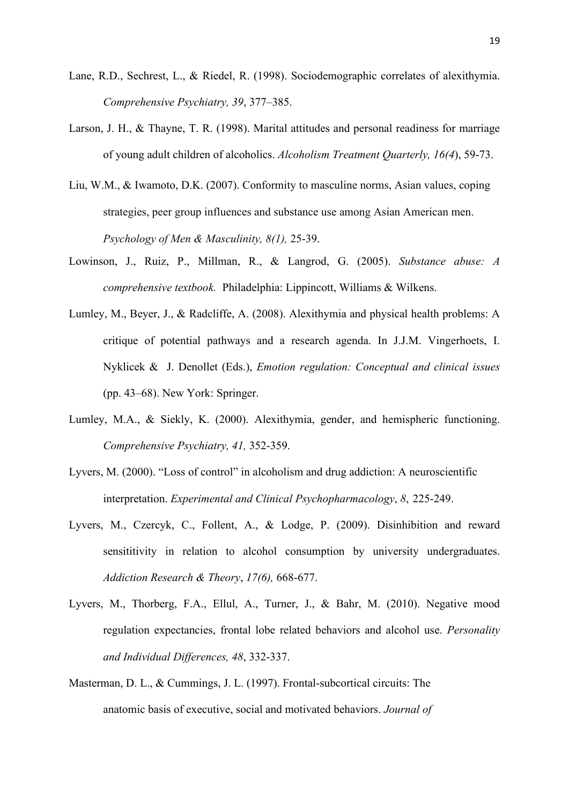- Lane, R.D., Sechrest, L., & Riedel, R. (1998). Sociodemographic correlates of alexithymia. *Comprehensive Psychiatry, 39*, 377–385.
- Larson, J. H., & Thayne, T. R. (1998). Marital attitudes and personal readiness for marriage of young adult children of alcoholics. *Alcoholism Treatment Quarterly, 16(4*), 59-73.
- Liu, W.M., & Iwamoto, D.K. (2007). Conformity to masculine norms, Asian values, coping strategies, peer group influences and substance use among Asian American men. *Psychology of Men & Masculinity, 8(1),* 25-39.
- Lowinson, J., Ruiz, P., Millman, R., & Langrod, G. (2005). *Substance abuse: A comprehensive textbook.* Philadelphia: Lippincott, Williams & Wilkens.
- Lumley, M., Beyer, J., & Radcliffe, A. (2008). Alexithymia and physical health problems: A critique of potential pathways and a research agenda. In J.J.M. Vingerhoets, I. Nyklicek & J. Denollet (Eds.), *Emotion regulation: Conceptual and clinical issues* (pp. 43–68). New York: Springer.
- Lumley, M.A., & Siekly, K. (2000). Alexithymia, gender, and hemispheric functioning. *Comprehensive Psychiatry, 41,* 352-359.
- Lyvers, M. (2000). "Loss of control" in alcoholism and drug addiction: A neuroscientific interpretation. *Experimental and Clinical Psychopharmacology*, *8*, 225-249.
- Lyvers, M., Czercyk, C., Follent, A., & Lodge, P. (2009). Disinhibition and reward sensititivity in relation to alcohol consumption by university undergraduates. *Addiction Research & Theory*, *17(6),* 668-677.
- Lyvers, M., Thorberg, F.A., Ellul, A., Turner, J., & Bahr, M. (2010). Negative mood regulation expectancies, frontal lobe related behaviors and alcohol use. *Personality and Individual Differences, 48*, 332-337.
- Masterman, D. L., & Cummings, J. L. (1997). Frontal-subcortical circuits: The anatomic basis of executive, social and motivated behaviors. *Journal of*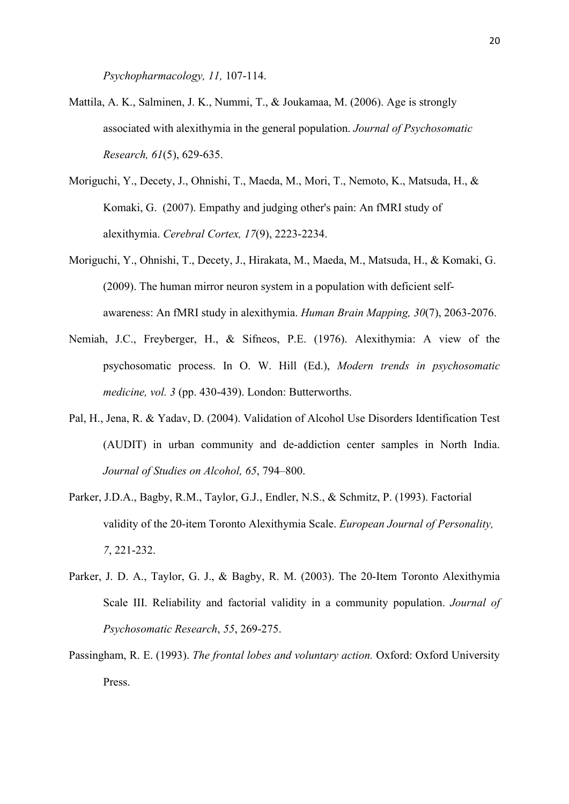*Psychopharmacology, 11,* 107-114.

- Mattila, A. K., Salminen, J. K., Nummi, T., & Joukamaa, M. (2006). Age is strongly associated with alexithymia in the general population. *Journal of Psychosomatic Research, 61*(5), 629-635.
- Moriguchi, Y., Decety, J., Ohnishi, T., Maeda, M., Mori, T., Nemoto, K., Matsuda, H., & Komaki, G. (2007). Empathy and judging other's pain: An fMRI study of alexithymia. *Cerebral Cortex, 17*(9), 2223-2234.
- Moriguchi, Y., Ohnishi, T., Decety, J., Hirakata, M., Maeda, M., Matsuda, H., & Komaki, G. (2009). The human mirror neuron system in a population with deficient self awareness: An fMRI study in alexithymia. *Human Brain Mapping, 30*(7), 2063-2076.
- Nemiah, J.C., Freyberger, H., & Sifneos, P.E. (1976). Alexithymia: A view of the psychosomatic process. In O. W. Hill (Ed.), *Modern trends in psychosomatic medicine, vol. 3* (pp. 430-439). London: Butterworths.
- Pal, H., Jena, R. & Yadav, D. (2004). Validation of Alcohol Use Disorders Identification Test (AUDIT) in urban community and de-addiction center samples in North India. *Journal of Studies on Alcohol, 65*, 794–800.
- Parker, J.D.A., Bagby, R.M., Taylor, G.J., Endler, N.S., & Schmitz, P. (1993). Factorial validity of the 20-item Toronto Alexithymia Scale. *European Journal of Personality, 7*, 221-232.
- Parker, J. D. A., Taylor, G. J., & Bagby, R. M. (2003). The 20-Item Toronto Alexithymia Scale III. Reliability and factorial validity in a community population. *Journal of Psychosomatic Research*, *55*, 269-275.
- Passingham, R. E. (1993). *The frontal lobes and voluntary action.* Oxford: Oxford University Press.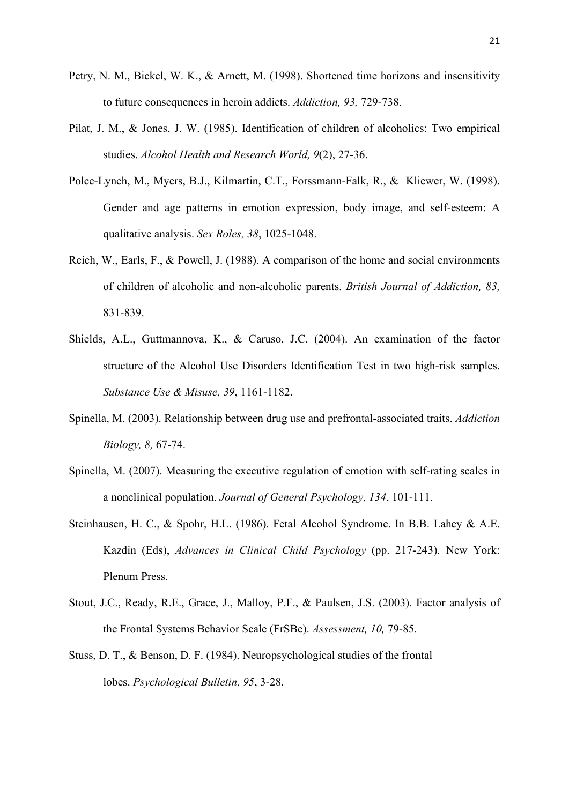- Petry, N. M., Bickel, W. K., & Arnett, M. (1998). Shortened time horizons and insensitivity to future consequences in heroin addicts. *Addiction, 93,* 729-738.
- Pilat, J. M., & Jones, J. W. (1985). Identification of children of alcoholics: Two empirical studies. *Alcohol Health and Research World, 9*(2), 27-36.
- Polce-Lynch, M., Myers, B.J., Kilmartin, C.T., Forssmann-Falk, R., & Kliewer, W. (1998). Gender and age patterns in emotion expression, body image, and self-esteem: A qualitative analysis. *Sex Roles, 38*, 1025-1048.
- Reich, W., Earls, F., & Powell, J. (1988). A comparison of the home and social environments of children of alcoholic and non-alcoholic parents. *British Journal of Addiction, 83,*  831-839.
- Shields, A.L., Guttmannova, K., & Caruso, J.C. (2004). An examination of the factor structure of the Alcohol Use Disorders Identification Test in two high-risk samples. *Substance Use & Misuse, 39*, 1161-1182.
- Spinella, M. (2003). Relationship between drug use and prefrontal-associated traits. *Addiction Biology, 8,* 67-74.
- Spinella, M. (2007). Measuring the executive regulation of emotion with self-rating scales in a nonclinical population. *Journal of General Psychology, 134*, 101-111.
- Steinhausen, H. C., & Spohr, H.L. (1986). Fetal Alcohol Syndrome. In B.B. Lahey & A.E. Kazdin (Eds), *Advances in Clinical Child Psychology* (pp. 217-243). New York: Plenum Press.
- Stout, J.C., Ready, R.E., Grace, J., Malloy, P.F., & Paulsen, J.S. (2003). Factor analysis of the Frontal Systems Behavior Scale (FrSBe). *Assessment, 10,* 79-85.
- Stuss, D. T., & Benson, D. F. (1984). Neuropsychological studies of the frontal lobes. *Psychological Bulletin, 95*, 3-28.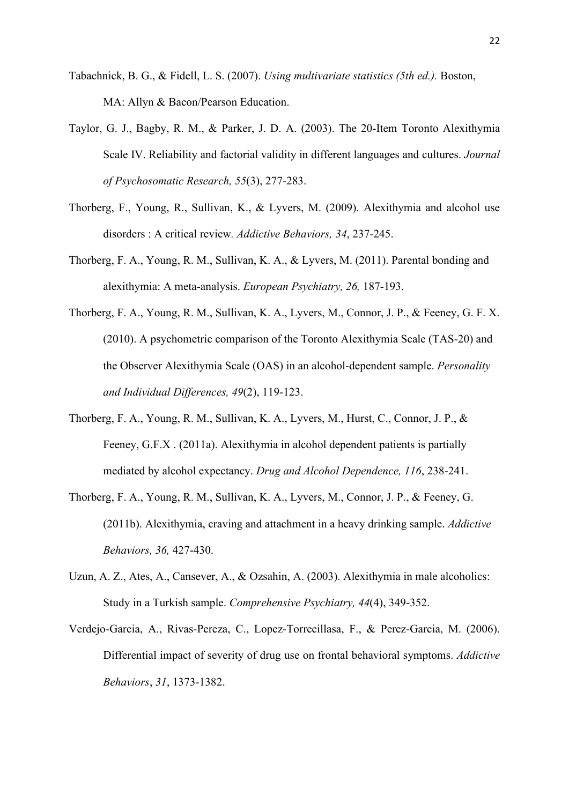- Tabachnick, B. G., & Fidell, L. S. (2007). *Using multivariate statistics (5th ed.).* Boston, MA: Allyn & Bacon/Pearson Education.
- Taylor, G. J., Bagby, R. M., & Parker, J. D. A. (2003). The 20-Item Toronto Alexithymia Scale IV. Reliability and factorial validity in different languages and cultures. *Journal of Psychosomatic Research, 55*(3), 277-283.
- Thorberg, F., Young, R., Sullivan, K., & Lyvers, M. (2009). Alexithymia and alcohol use disorders : A critical review*. Addictive Behaviors, 34*, 237-245.
- Thorberg, F. A., Young, R. M., Sullivan, K. A., & Lyvers, M. (2011). Parental bonding and alexithymia: A meta-analysis. *European Psychiatry, 26,* 187-193.
- Thorberg, F. A., Young, R. M., Sullivan, K. A., Lyvers, M., Connor, J. P., & Feeney, G. F. X. (2010). A psychometric comparison of the Toronto Alexithymia Scale (TAS-20) and the Observer Alexithymia Scale (OAS) in an alcohol-dependent sample. *Personality and Individual Differences, 49*(2), 119-123.
- Thorberg, F. A., Young, R. M., Sullivan, K. A., Lyvers, M., Hurst, C., Connor, J. P., & Feeney, G.F.X . (2011a). Alexithymia in alcohol dependent patients is partially mediated by alcohol expectancy. *Drug and Alcohol Dependence, 116*, 238-241.
- Thorberg, F. A., Young, R. M., Sullivan, K. A., Lyvers, M., Connor, J. P., & Feeney, G. (2011b). Alexithymia, craving and attachment in a heavy drinking sample. *Addictive Behaviors, 36,* 427-430.
- Uzun, A. Z., Ates, A., Cansever, A., & Ozsahin, A. (2003). Alexithymia in male alcoholics: Study in a Turkish sample. *Comprehensive Psychiatry, 44*(4), 349-352.
- Verdejo-Garcia, A., Rivas-Pereza, C., Lopez-Torrecillasa, F., & Perez-Garcia, M. (2006). Differential impact of severity of drug use on frontal behavioral symptoms. *Addictive Behaviors*, *31*, 1373-1382.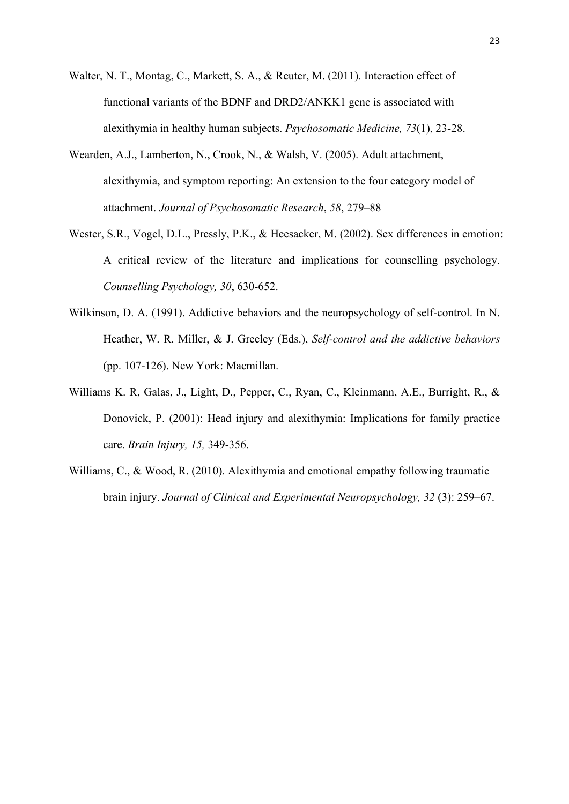- Walter, N. T., Montag, C., Markett, S. A., & Reuter, M. (2011). Interaction effect of functional variants of the BDNF and DRD2/ANKK1 gene is associated with alexithymia in healthy human subjects. *Psychosomatic Medicine, 73*(1), 23-28.
- Wearden, A.J., Lamberton, N., Crook, N., & Walsh, V. (2005). Adult attachment, alexithymia, and symptom reporting: An extension to the four category model of attachment. *Journal of Psychosomatic Research*, *58*, 279–88
- Wester, S.R., Vogel, D.L., Pressly, P.K., & Heesacker, M. (2002). Sex differences in emotion: A critical review of the literature and implications for counselling psychology. *Counselling Psychology, 30*, 630-652.
- Wilkinson, D. A. (1991). Addictive behaviors and the neuropsychology of self-control. In N. Heather, W. R. Miller, & J. Greeley (Eds.), *Self-control and the addictive behaviors* (pp. 107-126). New York: Macmillan.
- Williams K. R, Galas, J., Light, D., Pepper, C., Ryan, C., Kleinmann, A.E., Burright, R., & Donovick, P. (2001): Head injury and alexithymia: Implications for family practice care. *Brain Injury, 15,* 349-356.
- Williams, C., & Wood, R. (2010). Alexithymia and emotional empathy following traumatic brain injury. *Journal of Clinical and Experimental Neuropsychology, 32* (3): 259–67.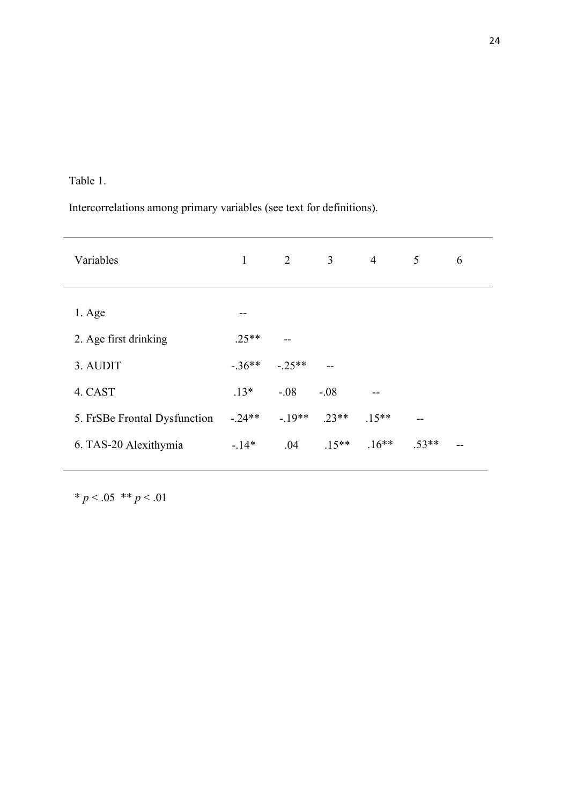# Table 1.

Intercorrelations among primary variables (see text for definitions).

| $\mathbf{1}$ | $\overline{2}$ | 3              | $\overline{4}$ | 5       | 6  |
|--------------|----------------|----------------|----------------|---------|----|
|              |                |                |                |         |    |
| --           |                |                |                |         |    |
| $.25**$      | $-$            |                |                |         |    |
| $-.36**$     | $-.25**$       | $\overline{a}$ |                |         |    |
| $.13*$       | $-.08$         | $-.08$         |                |         |    |
| $-0.24**$    | $-19**$        | $.23**$        | $.15**$        |         |    |
| $-14*$       | .04            | $.15**$        | $.16**$        | $.53**$ | -- |
|              |                |                |                |         |    |

 $* p < .05$  \*\*  $p < .01$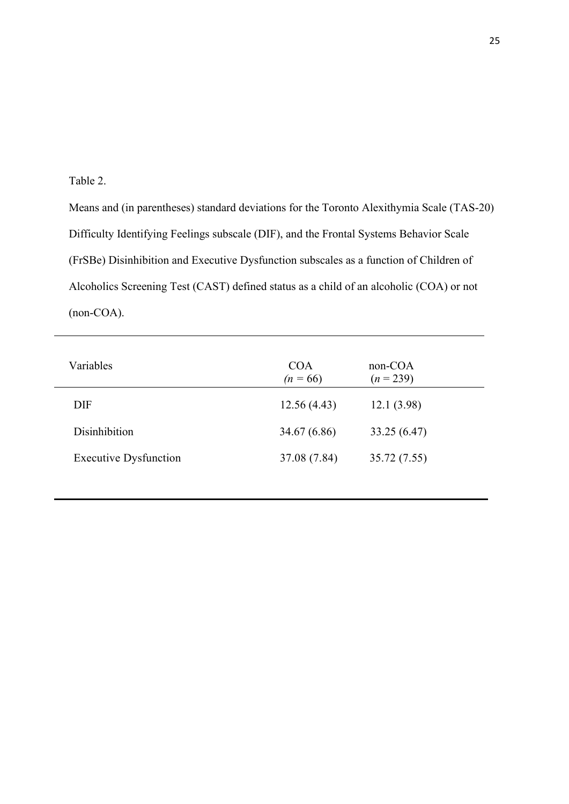Table 2.

Means and (in parentheses) standard deviations for the Toronto Alexithymia Scale (TAS-20) Difficulty Identifying Feelings subscale (DIF), and the Frontal Systems Behavior Scale (FrSBe) Disinhibition and Executive Dysfunction subscales as a function of Children of Alcoholics Screening Test (CAST) defined status as a child of an alcoholic (COA) or not (non-COA).

| Variables                    | <b>COA</b><br>$(n = 66)$ | $non-COA$<br>$(n = 239)$ |
|------------------------------|--------------------------|--------------------------|
| <b>DIF</b>                   | 12.56(4.43)              | 12.1(3.98)               |
| Disinhibition                | 34.67 (6.86)             | 33.25 (6.47)             |
| <b>Executive Dysfunction</b> | 37.08 (7.84)             | 35.72 (7.55)             |
|                              |                          |                          |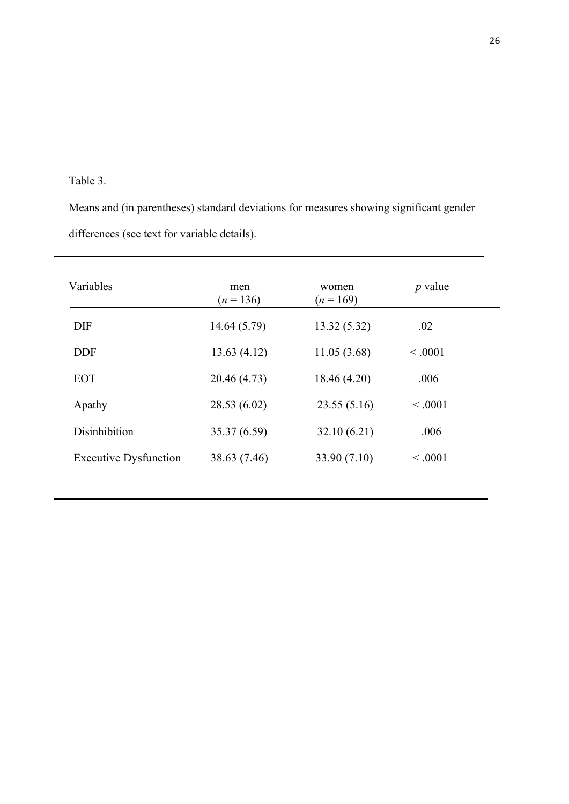# Table 3.

Means and (in parentheses) standard deviations for measures showing significant gender differences (see text for variable details).

| Variables                    | men<br>$(n=136)$ | women<br>$(n=169)$ | $p$ value |
|------------------------------|------------------|--------------------|-----------|
| <b>DIF</b>                   | 14.64 (5.79)     | 13.32(5.32)        | .02       |
| <b>DDF</b>                   | 13.63(4.12)      | 11.05(3.68)        | < .0001   |
| <b>EOT</b>                   | 20.46 (4.73)     | 18.46 (4.20)       | .006      |
| Apathy                       | 28.53 (6.02)     | 23.55(5.16)        | < 0.001   |
| Disinhibition                | 35.37 (6.59)     | 32.10(6.21)        | .006      |
| <b>Executive Dysfunction</b> | 38.63 (7.46)     | 33.90 (7.10)       | < 0.001   |
|                              |                  |                    |           |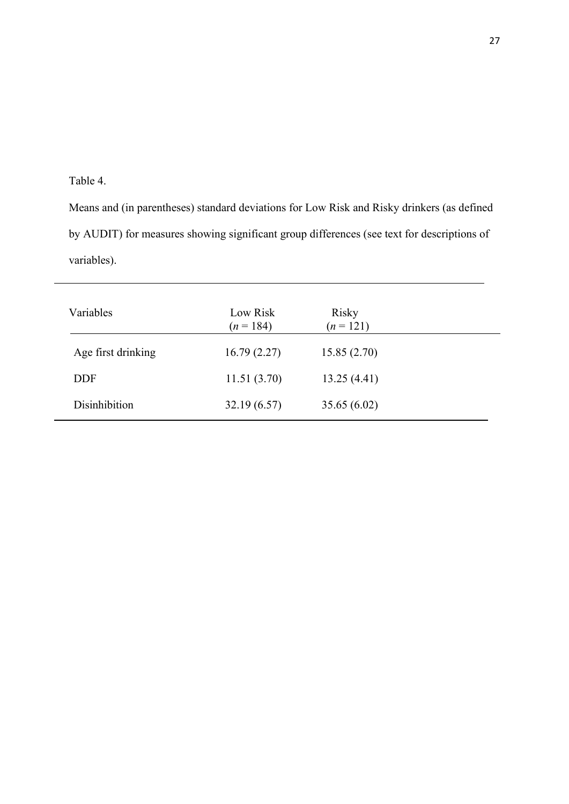## Table 4.

L

Means and (in parentheses) standard deviations for Low Risk and Risky drinkers (as defined by AUDIT) for measures showing significant group differences (see text for descriptions of variables).

| Variables          | Low Risk<br>$(n = 184)$ | Risky<br>$(n = 121)$ |  |
|--------------------|-------------------------|----------------------|--|
| Age first drinking | 16.79(2.27)             | 15.85(2.70)          |  |
| <b>DDF</b>         | 11.51(3.70)             | 13.25(4.41)          |  |
| Disinhibition      | 32.19(6.57)             | 35.65(6.02)          |  |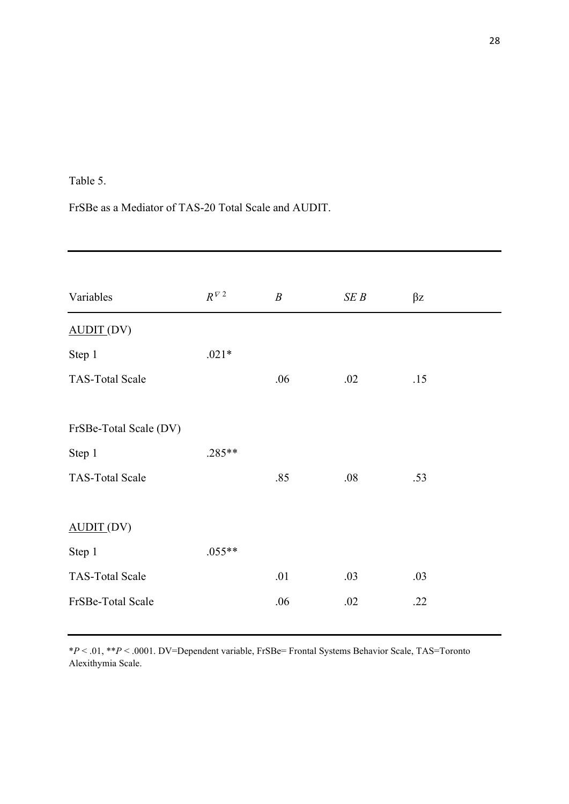## Table 5.

FrSBe as a Mediator of TAS-20 Total Scale and AUDIT.

| Variables               | $R^{\sqrt{V} \, 2}$ | $\boldsymbol{B}$ | SE B | $\beta z$ |
|-------------------------|---------------------|------------------|------|-----------|
| $\triangle$ UDIT $(DV)$ |                     |                  |      |           |
| Step 1                  | $.021*$             |                  |      |           |
| <b>TAS-Total Scale</b>  |                     | .06              | .02  | .15       |
| FrSBe-Total Scale (DV)  |                     |                  |      |           |
| Step 1                  | .285**              |                  |      |           |
| <b>TAS-Total Scale</b>  |                     | .85              | .08  | .53       |
| AUDIT(DV)               |                     |                  |      |           |
| Step 1                  | $.055**$            |                  |      |           |
| <b>TAS-Total Scale</b>  |                     | .01              | .03  | .03       |
| FrSBe-Total Scale       |                     | .06              | .02  | .22       |

\**P* < .01, \*\**P* < .0001. DV=Dependent variable, FrSBe= Frontal Systems Behavior Scale, TAS=Toronto Alexithymia Scale.